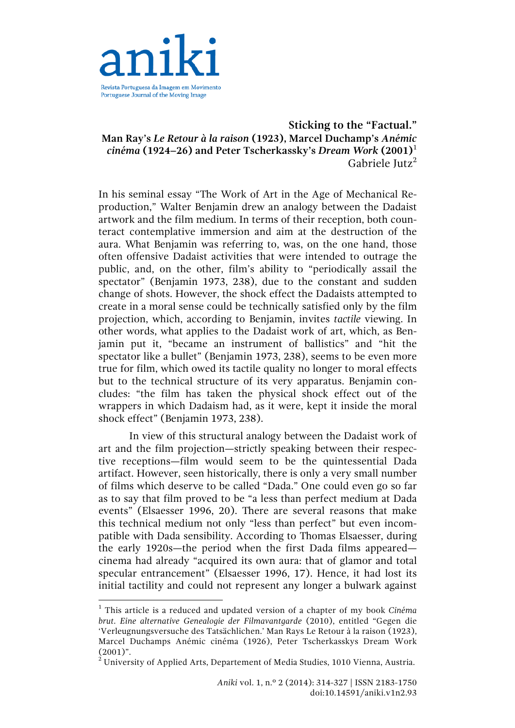

# **Sticking to the "Factual." Man Ray's** *Le Retour à la raison* **(1923), Marcel Duchamp's** *Anémic cinéma* **(1924–26) and Peter Tscherkassky's** *Dream Work* **(2001)**<sup>1</sup> Gabriele Jutz<sup>2</sup>

In his seminal essay "The Work of Art in the Age of Mechanical Reproduction," Walter Benjamin drew an analogy between the Dadaist artwork and the film medium. In terms of their reception, both counteract contemplative immersion and aim at the destruction of the aura. What Benjamin was referring to, was, on the one hand, those often offensive Dadaist activities that were intended to outrage the public, and, on the other, film's ability to "periodically assail the spectator" (Benjamin 1973, 238), due to the constant and sudden change of shots. However, the shock effect the Dadaists attempted to create in a moral sense could be technically satisfied only by the film projection, which, according to Benjamin, invites *tactile* viewing. In other words, what applies to the Dadaist work of art, which, as Benjamin put it, "became an instrument of ballistics" and "hit the spectator like a bullet" (Benjamin 1973, 238), seems to be even more true for film, which owed its tactile quality no longer to moral effects but to the technical structure of its very apparatus. Benjamin concludes: "the film has taken the physical shock effect out of the wrappers in which Dadaism had, as it were, kept it inside the moral shock effect" (Benjamin 1973, 238).

In view of this structural analogy between the Dadaist work of art and the film projection—strictly speaking between their respective receptions—film would seem to be the quintessential Dada artifact. However, seen historically, there is only a very small number of films which deserve to be called "Dada." One could even go so far as to say that film proved to be "a less than perfect medium at Dada events" (Elsaesser 1996, 20). There are several reasons that make this technical medium not only "less than perfect" but even incompatible with Dada sensibility. According to Thomas Elsaesser, during the early 1920s—the period when the first Dada films appeared cinema had already "acquired its own aura: that of glamor and total specular entrancement" (Elsaesser 1996, 17). Hence, it had lost its initial tactility and could not represent any longer a bulwark against

<sup>1</sup> This article is a reduced and updated version of a chapter of my book *Cinéma brut. Eine alternative Genealogie der Filmavantgarde* (2010), entitled "Gegen die 'Verleugnungsversuche des Tatsächlichen.' Man Rays Le Retour à la raison (1923), Marcel Duchamps Anémic cinéma (1926), Peter Tscherkasskys Dream Work  $(2001)$ ".

<sup>2</sup> University of Applied Arts, Departement of Media Studies, 1010 Vienna, Austria.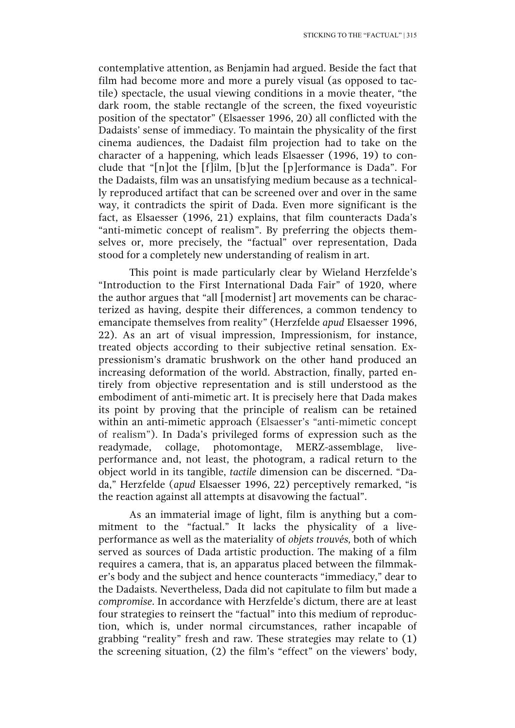contemplative attention, as Benjamin had argued. Beside the fact that film had become more and more a purely visual (as opposed to tactile) spectacle, the usual viewing conditions in a movie theater, "the dark room, the stable rectangle of the screen, the fixed voyeuristic position of the spectator" (Elsaesser 1996, 20) all conflicted with the Dadaists' sense of immediacy. To maintain the physicality of the first cinema audiences, the Dadaist film projection had to take on the character of a happening, which leads Elsaesser (1996, 19) to conclude that "[n]ot the [f]ilm, [b]ut the [p]erformance is Dada". For the Dadaists, film was an unsatisfying medium because as a technically reproduced artifact that can be screened over and over in the same way, it contradicts the spirit of Dada. Even more significant is the fact, as Elsaesser (1996, 21) explains, that film counteracts Dada's "anti-mimetic concept of realism". By preferring the objects themselves or, more precisely, the "factual" over representation, Dada stood for a completely new understanding of realism in art.

This point is made particularly clear by Wieland Herzfelde's "Introduction to the First International Dada Fair" of 1920, where the author argues that "all [modernist] art movements can be characterized as having, despite their differences, a common tendency to emancipate themselves from reality" (Herzfelde *apud* Elsaesser 1996, 22). As an art of visual impression, Impressionism, for instance, treated objects according to their subjective retinal sensation. Expressionism's dramatic brushwork on the other hand produced an increasing deformation of the world. Abstraction, finally, parted entirely from objective representation and is still understood as the embodiment of anti-mimetic art. It is precisely here that Dada makes its point by proving that the principle of realism can be retained within an anti-mimetic approach (Elsaesser's "anti-mimetic concept of realism"). In Dada's privileged forms of expression such as the readymade, collage, photomontage, MERZ-assemblage, liveperformance and, not least, the photogram, a radical return to the object world in its tangible, *tactile* dimension can be discerned. "Dada," Herzfelde (*apud* Elsaesser 1996, 22) perceptively remarked, "is the reaction against all attempts at disavowing the factual".

As an immaterial image of light, film is anything but a commitment to the "factual." It lacks the physicality of a liveperformance as well as the materiality of *objets trouvés,* both of which served as sources of Dada artistic production. The making of a film requires a camera, that is, an apparatus placed between the filmmaker's body and the subject and hence counteracts "immediacy," dear to the Dadaists. Nevertheless, Dada did not capitulate to film but made a *compromise*. In accordance with Herzfelde's dictum, there are at least four strategies to reinsert the "factual" into this medium of reproduction, which is, under normal circumstances, rather incapable of grabbing "reality" fresh and raw. These strategies may relate to (1) the screening situation, (2) the film's "effect" on the viewers' body,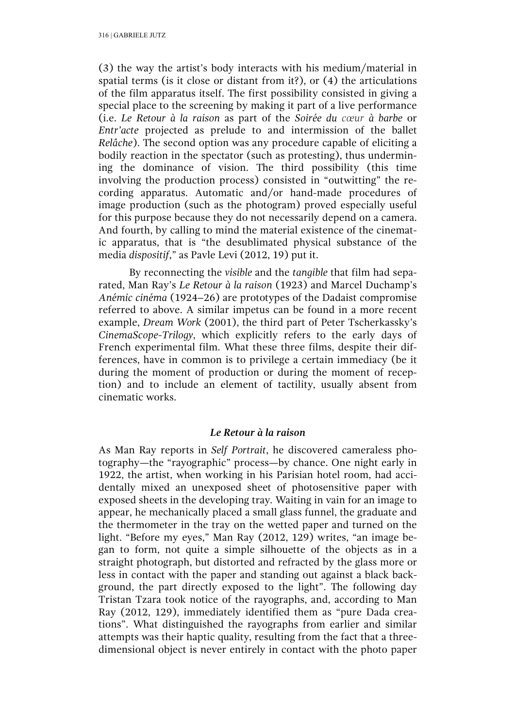(3) the way the artist's body interacts with his medium/material in spatial terms (is it close or distant from it?), or (4) the articulations of the film apparatus itself. The first possibility consisted in giving a special place to the screening by making it part of a live performance (i.e. *Le Retour à la raison* as part of the *Soirée du cœur à barbe* or *Entr'acte* projected as prelude to and intermission of the ballet *Relâche*). The second option was any procedure capable of eliciting a bodily reaction in the spectator (such as protesting), thus undermining the dominance of vision. The third possibility (this time involving the production process) consisted in "outwitting" the recording apparatus. Automatic and/or hand-made procedures of image production (such as the photogram) proved especially useful for this purpose because they do not necessarily depend on a camera. And fourth, by calling to mind the material existence of the cinematic apparatus, that is "the desublimated physical substance of the media *dispositif*," as Pavle Levi (2012, 19) put it.

By reconnecting the *visible* and the *tangible* that film had separated, Man Ray's *Le Retour à la raison* (1923) and Marcel Duchamp's *Anémic cinéma* (1924–26) are prototypes of the Dadaist compromise referred to above. A similar impetus can be found in a more recent example, *Dream Work* (2001), the third part of Peter Tscherkassky's *CinemaScope-Trilogy*, which explicitly refers to the early days of French experimental film. What these three films, despite their differences, have in common is to privilege a certain immediacy (be it during the moment of production or during the moment of reception) and to include an element of tactility, usually absent from cinematic works.

## *Le Retour à la raison*

As Man Ray reports in *Self Portrait*, he discovered cameraless photography—the "rayographic" process—by chance. One night early in 1922, the artist, when working in his Parisian hotel room, had accidentally mixed an unexposed sheet of photosensitive paper with exposed sheets in the developing tray. Waiting in vain for an image to appear, he mechanically placed a small glass funnel, the graduate and the thermometer in the tray on the wetted paper and turned on the light. "Before my eyes," Man Ray (2012, 129) writes, "an image began to form, not quite a simple silhouette of the objects as in a straight photograph, but distorted and refracted by the glass more or less in contact with the paper and standing out against a black background, the part directly exposed to the light". The following day Tristan Tzara took notice of the rayographs, and, according to Man Ray (2012, 129), immediately identified them as "pure Dada creations". What distinguished the rayographs from earlier and similar attempts was their haptic quality, resulting from the fact that a threedimensional object is never entirely in contact with the photo paper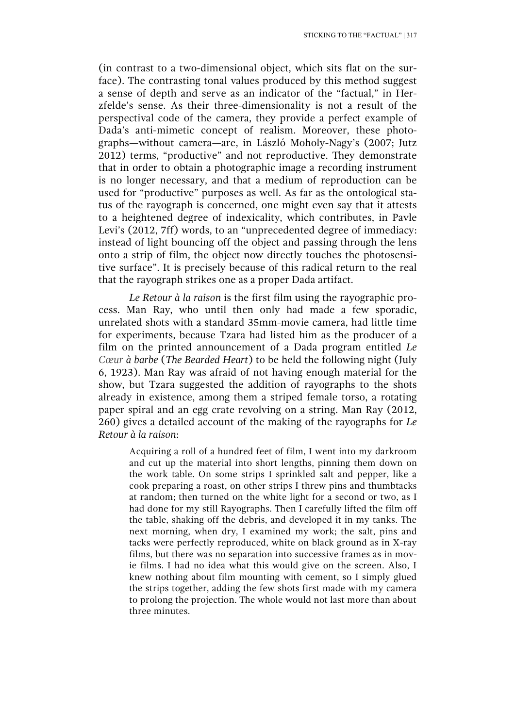(in contrast to a two-dimensional object, which sits flat on the surface). The contrasting tonal values produced by this method suggest a sense of depth and serve as an indicator of the "factual," in Herzfelde's sense. As their three-dimensionality is not a result of the perspectival code of the camera, they provide a perfect example of Dada's anti-mimetic concept of realism. Moreover, these photographs—without camera—are, in László Moholy-Nagy's (2007; Jutz 2012) terms, "productive" and not reproductive. They demonstrate that in order to obtain a photographic image a recording instrument is no longer necessary, and that a medium of reproduction can be used for "productive" purposes as well. As far as the ontological status of the rayograph is concerned, one might even say that it attests to a heightened degree of indexicality, which contributes, in Pavle Levi's (2012, 7ff) words, to an "unprecedented degree of immediacy: instead of light bouncing off the object and passing through the lens onto a strip of film, the object now directly touches the photosensitive surface". It is precisely because of this radical return to the real that the rayograph strikes one as a proper Dada artifact.

*Le Retour à la raison* is the first film using the rayographic process. Man Ray, who until then only had made a few sporadic, unrelated shots with a standard 35mm-movie camera, had little time for experiments, because Tzara had listed him as the producer of a film on the printed announcement of a Dada program entitled *Le Cœur à barbe* (*The Bearded Heart*) to be held the following night (July 6, 1923). Man Ray was afraid of not having enough material for the show, but Tzara suggested the addition of rayographs to the shots already in existence, among them a striped female torso, a rotating paper spiral and an egg crate revolving on a string. Man Ray (2012, 260) gives a detailed account of the making of the rayographs for *Le Retour à la raison*:

Acquiring a roll of a hundred feet of film, I went into my darkroom and cut up the material into short lengths, pinning them down on the work table. On some strips I sprinkled salt and pepper, like a cook preparing a roast, on other strips I threw pins and thumbtacks at random; then turned on the white light for a second or two, as I had done for my still Rayographs. Then I carefully lifted the film off the table, shaking off the debris, and developed it in my tanks. The next morning, when dry, I examined my work; the salt, pins and tacks were perfectly reproduced, white on black ground as in X-ray films, but there was no separation into successive frames as in movie films. I had no idea what this would give on the screen. Also, I knew nothing about film mounting with cement, so I simply glued the strips together, adding the few shots first made with my camera to prolong the projection. The whole would not last more than about three minutes.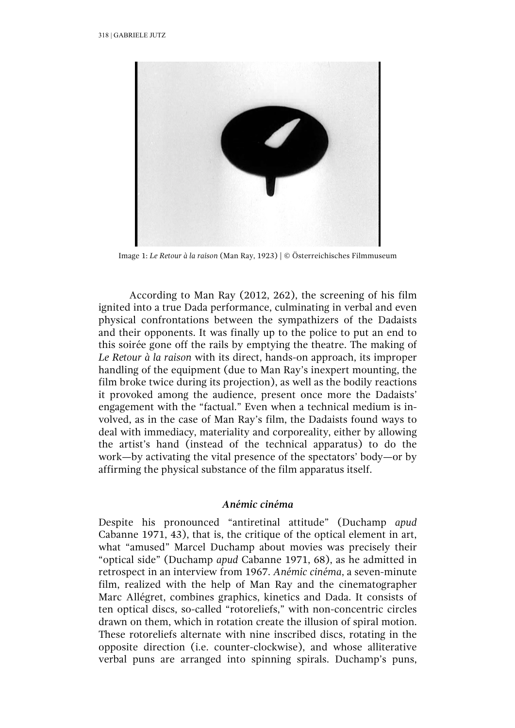

Image 1: *Le Retour à la raison* (Man Ray, 1923) | © Österreichisches Filmmuseum

According to Man Ray (2012, 262), the screening of his film ignited into a true Dada performance, culminating in verbal and even physical confrontations between the sympathizers of the Dadaists and their opponents. It was finally up to the police to put an end to this soirée gone off the rails by emptying the theatre. The making of *Le Retour à la raison* with its direct, hands-on approach, its improper handling of the equipment (due to Man Ray's inexpert mounting, the film broke twice during its projection), as well as the bodily reactions it provoked among the audience, present once more the Dadaists' engagement with the "factual." Even when a technical medium is involved, as in the case of Man Ray's film, the Dadaists found ways to deal with immediacy, materiality and corporeality, either by allowing the artist's hand (instead of the technical apparatus) to do the work—by activating the vital presence of the spectators' body—or by affirming the physical substance of the film apparatus itself.

## *Anémic cinéma*

Despite his pronounced "antiretinal attitude" (Duchamp *apud*  Cabanne 1971, 43), that is, the critique of the optical element in art, what "amused" Marcel Duchamp about movies was precisely their "optical side" (Duchamp *apud* Cabanne 1971, 68), as he admitted in retrospect in an interview from 1967. *Anémic cinéma*, a seven-minute film, realized with the help of Man Ray and the cinematographer Marc Allégret, combines graphics, kinetics and Dada. It consists of ten optical discs, so-called "rotoreliefs," with non-concentric circles drawn on them, which in rotation create the illusion of spiral motion. These rotoreliefs alternate with nine inscribed discs, rotating in the opposite direction (i.e. counter-clockwise), and whose alliterative verbal puns are arranged into spinning spirals. Duchamp's puns,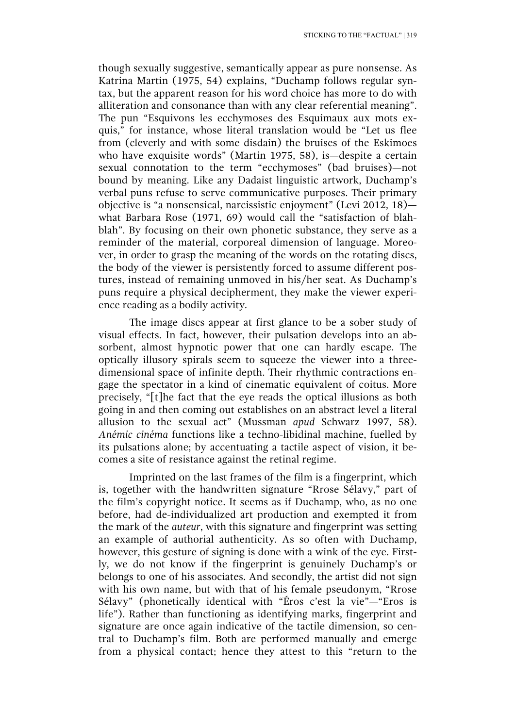though sexually suggestive, semantically appear as pure nonsense. As Katrina Martin (1975, 54) explains, "Duchamp follows regular syntax, but the apparent reason for his word choice has more to do with alliteration and consonance than with any clear referential meaning". The pun "Esquivons les ecchymoses des Esquimaux aux mots exquis," for instance, whose literal translation would be "Let us flee from (cleverly and with some disdain) the bruises of the Eskimoes who have exquisite words" (Martin 1975, 58), is—despite a certain sexual connotation to the term "ecchymoses" (bad bruises)—not bound by meaning. Like any Dadaist linguistic artwork, Duchamp's verbal puns refuse to serve communicative purposes. Their primary objective is "a nonsensical, narcissistic enjoyment" (Levi 2012, 18) what Barbara Rose (1971, 69) would call the "satisfaction of blahblah". By focusing on their own phonetic substance, they serve as a reminder of the material, corporeal dimension of language. Moreover, in order to grasp the meaning of the words on the rotating discs, the body of the viewer is persistently forced to assume different postures, instead of remaining unmoved in his/her seat. As Duchamp's puns require a physical decipherment, they make the viewer experience reading as a bodily activity.

The image discs appear at first glance to be a sober study of visual effects. In fact, however, their pulsation develops into an absorbent, almost hypnotic power that one can hardly escape. The optically illusory spirals seem to squeeze the viewer into a threedimensional space of infinite depth. Their rhythmic contractions engage the spectator in a kind of cinematic equivalent of coitus. More precisely, "[t]he fact that the eye reads the optical illusions as both going in and then coming out establishes on an abstract level a literal allusion to the sexual act" (Mussman *apud* Schwarz 1997, 58). *Anémic cinéma* functions like a techno-libidinal machine, fuelled by its pulsations alone; by accentuating a tactile aspect of vision, it becomes a site of resistance against the retinal regime.

Imprinted on the last frames of the film is a fingerprint, which is, together with the handwritten signature "Rrose Sélavy," part of the film's copyright notice. It seems as if Duchamp, who, as no one before, had de-individualized art production and exempted it from the mark of the *auteur*, with this signature and fingerprint was setting an example of authorial authenticity. As so often with Duchamp, however, this gesture of signing is done with a wink of the eye. Firstly, we do not know if the fingerprint is genuinely Duchamp's or belongs to one of his associates. And secondly, the artist did not sign with his own name, but with that of his female pseudonym, "Rrose Sélavy" (phonetically identical with "Éros c'est la vie"—"Eros is life"). Rather than functioning as identifying marks, fingerprint and signature are once again indicative of the tactile dimension, so central to Duchamp's film. Both are performed manually and emerge from a physical contact; hence they attest to this "return to the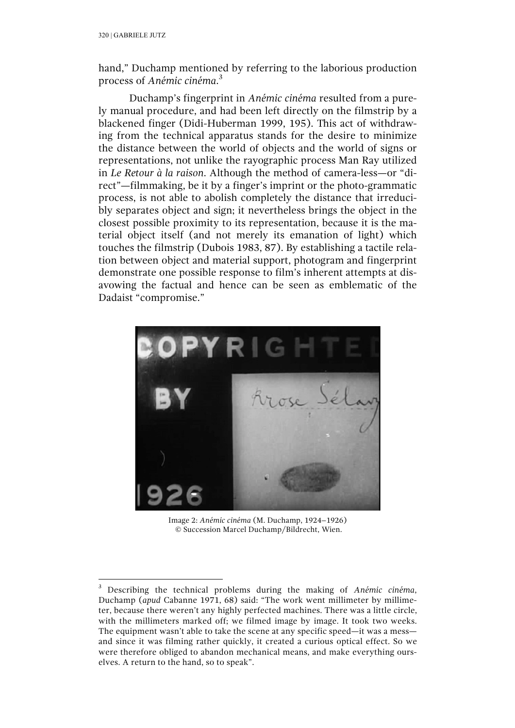hand," Duchamp mentioned by referring to the laborious production process of *Anémic cinéma*. 3

Duchamp's fingerprint in *Anémic cinéma* resulted from a purely manual procedure, and had been left directly on the filmstrip by a blackened finger (Didi-Huberman 1999, 195). This act of withdrawing from the technical apparatus stands for the desire to minimize the distance between the world of objects and the world of signs or representations, not unlike the rayographic process Man Ray utilized in *Le Retour à la raison*. Although the method of camera-less—or "direct"—filmmaking, be it by a finger's imprint or the photo-grammatic process, is not able to abolish completely the distance that irreducibly separates object and sign; it nevertheless brings the object in the closest possible proximity to its representation, because it is the material object itself (and not merely its emanation of light) which touches the filmstrip (Dubois 1983, 87). By establishing a tactile relation between object and material support, photogram and fingerprint demonstrate one possible response to film's inherent attempts at disavowing the factual and hence can be seen as emblematic of the Dadaist "compromise."



Image 2: *Anémic cinéma* (M. Duchamp, 1924–1926) © Succession Marcel Duchamp/Bildrecht, Wien.

<sup>3</sup> Describing the technical problems during the making of *Anémic cinéma*, Duchamp (*apud* Cabanne 1971, 68) said: "The work went millimeter by millimeter, because there weren't any highly perfected machines. There was a little circle, with the millimeters marked off; we filmed image by image. It took two weeks. The equipment wasn't able to take the scene at any specific speed—it was a mess and since it was filming rather quickly, it created a curious optical effect. So we were therefore obliged to abandon mechanical means, and make everything ourselves. A return to the hand, so to speak".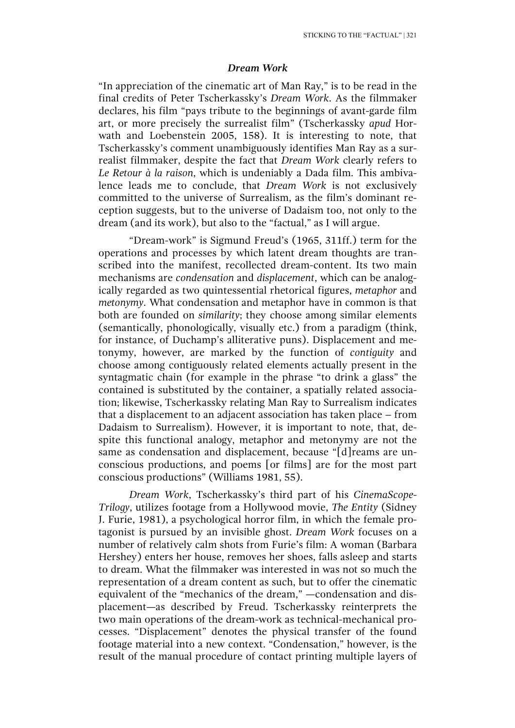#### *Dream Work*

"In appreciation of the cinematic art of Man Ray," is to be read in the final credits of Peter Tscherkassky's *Dream Work*. As the filmmaker declares, his film "pays tribute to the beginnings of avant-garde film art, or more precisely the surrealist film" (Tscherkassky *apud* Horwath and Loebenstein 2005, 158). It is interesting to note, that Tscherkassky's comment unambiguously identifies Man Ray as a surrealist filmmaker, despite the fact that *Dream Work* clearly refers to *Le Retour à la raison*, which is undeniably a Dada film. This ambivalence leads me to conclude, that *Dream Work* is not exclusively committed to the universe of Surrealism, as the film's dominant reception suggests, but to the universe of Dadaism too, not only to the dream (and its work), but also to the "factual," as I will argue.

"Dream-work" is Sigmund Freud's (1965, 311ff.) term for the operations and processes by which latent dream thoughts are transcribed into the manifest, recollected dream-content. Its two main mechanisms are *condensation* and *displacement*, which can be analogically regarded as two quintessential rhetorical figures, *metaphor* and *metonymy*. What condensation and metaphor have in common is that both are founded on *similarity*; they choose among similar elements (semantically, phonologically, visually etc.) from a paradigm (think, for instance, of Duchamp's alliterative puns). Displacement and metonymy, however, are marked by the function of *contiguity* and choose among contiguously related elements actually present in the syntagmatic chain (for example in the phrase "to drink a glass" the contained is substituted by the container, a spatially related association; likewise, Tscherkassky relating Man Ray to Surrealism indicates that a displacement to an adjacent association has taken place – from Dadaism to Surrealism). However, it is important to note, that, despite this functional analogy, metaphor and metonymy are not the same as condensation and displacement, because "[d]reams are unconscious productions, and poems [or films] are for the most part conscious productions" (Williams 1981, 55).

*Dream Work*, Tscherkassky's third part of his *CinemaScope-Trilogy*, utilizes footage from a Hollywood movie, *The Entity* (Sidney J. Furie, 1981), a psychological horror film, in which the female protagonist is pursued by an invisible ghost. *Dream Work* focuses on a number of relatively calm shots from Furie's film: A woman (Barbara Hershey) enters her house, removes her shoes, falls asleep and starts to dream. What the filmmaker was interested in was not so much the representation of a dream content as such, but to offer the cinematic equivalent of the "mechanics of the dream," —condensation and displacement—as described by Freud. Tscherkassky reinterprets the two main operations of the dream-work as technical-mechanical processes. "Displacement" denotes the physical transfer of the found footage material into a new context. "Condensation," however, is the result of the manual procedure of contact printing multiple layers of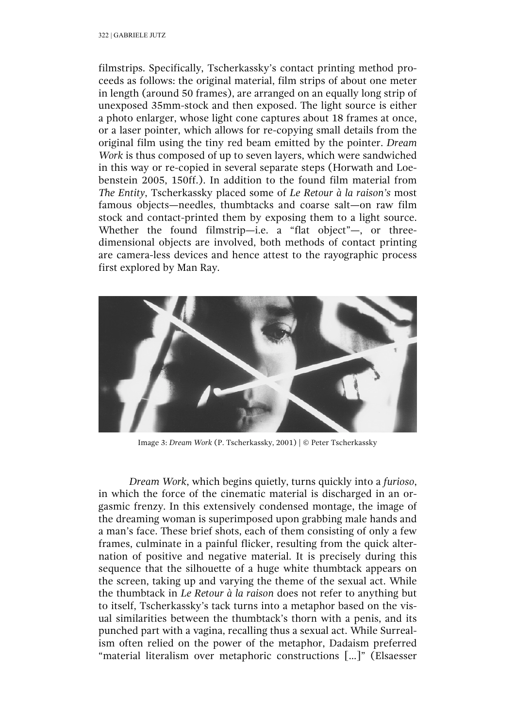filmstrips. Specifically, Tscherkassky's contact printing method proceeds as follows: the original material, film strips of about one meter in length (around 50 frames), are arranged on an equally long strip of unexposed 35mm-stock and then exposed. The light source is either a photo enlarger, whose light cone captures about 18 frames at once, or a laser pointer, which allows for re-copying small details from the original film using the tiny red beam emitted by the pointer. *Dream Work* is thus composed of up to seven layers, which were sandwiched in this way or re-copied in several separate steps (Horwath and Loebenstein 2005, 150ff.). In addition to the found film material from *The Entity*, Tscherkassky placed some of *Le Retour à la raison's* most famous objects—needles, thumbtacks and coarse salt—on raw film stock and contact-printed them by exposing them to a light source. Whether the found filmstrip—i.e. a "flat object"—, or threedimensional objects are involved, both methods of contact printing are camera-less devices and hence attest to the rayographic process first explored by Man Ray.



Image 3: *Dream Work* (P. Tscherkassky, 2001) | © Peter Tscherkassky

*Dream Work*, which begins quietly, turns quickly into a *furioso*, in which the force of the cinematic material is discharged in an orgasmic frenzy. In this extensively condensed montage, the image of the dreaming woman is superimposed upon grabbing male hands and a man's face. These brief shots, each of them consisting of only a few frames, culminate in a painful flicker, resulting from the quick alternation of positive and negative material. It is precisely during this sequence that the silhouette of a huge white thumbtack appears on the screen, taking up and varying the theme of the sexual act. While the thumbtack in *Le Retour à la raison* does not refer to anything but to itself, Tscherkassky's tack turns into a metaphor based on the visual similarities between the thumbtack's thorn with a penis, and its punched part with a vagina, recalling thus a sexual act. While Surrealism often relied on the power of the metaphor, Dadaism preferred "material literalism over metaphoric constructions [...]" (Elsaesser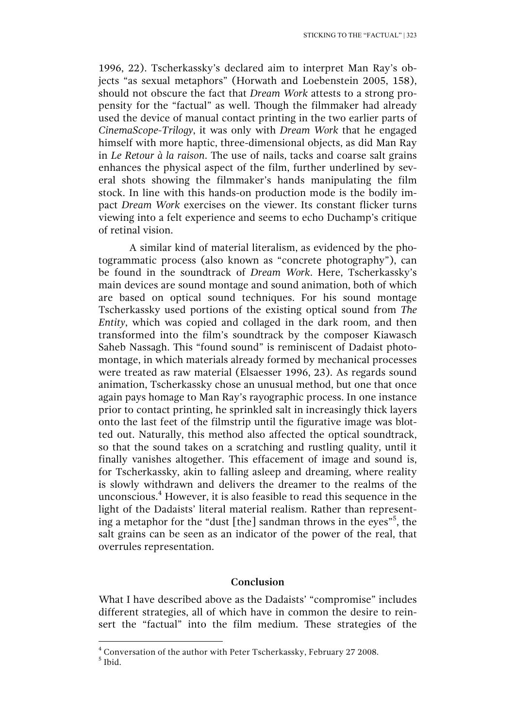1996, 22). Tscherkassky's declared aim to interpret Man Ray's objects "as sexual metaphors" (Horwath and Loebenstein 2005, 158), should not obscure the fact that *Dream Work* attests to a strong propensity for the "factual" as well. Though the filmmaker had already used the device of manual contact printing in the two earlier parts of *CinemaScope-Trilogy*, it was only with *Dream Work* that he engaged himself with more haptic, three-dimensional objects, as did Man Ray in *Le Retour à la raison*. The use of nails, tacks and coarse salt grains enhances the physical aspect of the film, further underlined by several shots showing the filmmaker's hands manipulating the film stock. In line with this hands-on production mode is the bodily impact *Dream Work* exercises on the viewer. Its constant flicker turns viewing into a felt experience and seems to echo Duchamp's critique of retinal vision.

A similar kind of material literalism, as evidenced by the photogrammatic process (also known as "concrete photography"), can be found in the soundtrack of *Dream Work*. Here, Tscherkassky's main devices are sound montage and sound animation, both of which are based on optical sound techniques. For his sound montage Tscherkassky used portions of the existing optical sound from *The Entity*, which was copied and collaged in the dark room, and then transformed into the film's soundtrack by the composer Kiawasch Saheb Nassagh. This "found sound" is reminiscent of Dadaist photomontage, in which materials already formed by mechanical processes were treated as raw material (Elsaesser 1996, 23). As regards sound animation, Tscherkassky chose an unusual method, but one that once again pays homage to Man Ray's rayographic process. In one instance prior to contact printing, he sprinkled salt in increasingly thick layers onto the last feet of the filmstrip until the figurative image was blotted out. Naturally, this method also affected the optical soundtrack, so that the sound takes on a scratching and rustling quality, until it finally vanishes altogether. This effacement of image and sound is, for Tscherkassky, akin to falling asleep and dreaming, where reality is slowly withdrawn and delivers the dreamer to the realms of the unconscious.4 However, it is also feasible to read this sequence in the light of the Dadaists' literal material realism. Rather than representing a metaphor for the "dust [the] sandman throws in the eyes"<sup>5</sup>, the salt grains can be seen as an indicator of the power of the real, that overrules representation.

## **Conclusion**

What I have described above as the Dadaists' "compromise" includes different strategies, all of which have in common the desire to reinsert the "factual" into the film medium. These strategies of the

 $<sup>5</sup>$  Ibid.</sup>

<sup>4</sup> Conversation of the author with Peter Tscherkassky, February 27 2008.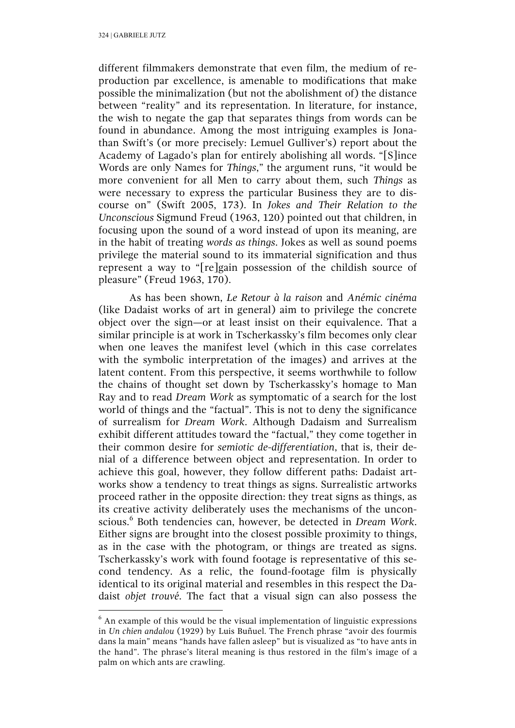different filmmakers demonstrate that even film, the medium of reproduction par excellence, is amenable to modifications that make possible the minimalization (but not the abolishment of) the distance between "reality" and its representation. In literature, for instance, the wish to negate the gap that separates things from words can be found in abundance. Among the most intriguing examples is Jonathan Swift's (or more precisely: Lemuel Gulliver's) report about the Academy of Lagado's plan for entirely abolishing all words. "[S]ince Words are only Names for *Things*," the argument runs, "it would be more convenient for all Men to carry about them, such *Things* as were necessary to express the particular Business they are to discourse on" (Swift 2005, 173). In *Jokes and Their Relation to the Unconscious* Sigmund Freud (1963, 120) pointed out that children, in focusing upon the sound of a word instead of upon its meaning, are in the habit of treating *words as things*. Jokes as well as sound poems privilege the material sound to its immaterial signification and thus represent a way to "[re]gain possession of the childish source of pleasure" (Freud 1963, 170).

As has been shown, *Le Retour à la raison* and *Anémic cinéma* (like Dadaist works of art in general) aim to privilege the concrete object over the sign—or at least insist on their equivalence. That a similar principle is at work in Tscherkassky's film becomes only clear when one leaves the manifest level (which in this case correlates with the symbolic interpretation of the images) and arrives at the latent content. From this perspective, it seems worthwhile to follow the chains of thought set down by Tscherkassky's homage to Man Ray and to read *Dream Work* as symptomatic of a search for the lost world of things and the "factual". This is not to deny the significance of surrealism for *Dream Work*. Although Dadaism and Surrealism exhibit different attitudes toward the "factual," they come together in their common desire for *semiotic de-differentiation*, that is, their denial of a difference between object and representation. In order to achieve this goal, however, they follow different paths: Dadaist artworks show a tendency to treat things as signs. Surrealistic artworks proceed rather in the opposite direction: they treat signs as things, as its creative activity deliberately uses the mechanisms of the unconscious.<sup>6</sup> Both tendencies can, however, be detected in *Dream Work*. Either signs are brought into the closest possible proximity to things, as in the case with the photogram, or things are treated as signs. Tscherkassky's work with found footage is representative of this second tendency. As a relic, the found-footage film is physically identical to its original material and resembles in this respect the Dadaist *objet trouvé*. The fact that a visual sign can also possess the

 $6$  An example of this would be the visual implementation of linguistic expressions in *Un chien andalou* (1929) by Luis Buñuel. The French phrase "avoir des fourmis dans la main" means "hands have fallen asleep" but is visualized as "to have ants in the hand". The phrase's literal meaning is thus restored in the film's image of a palm on which ants are crawling.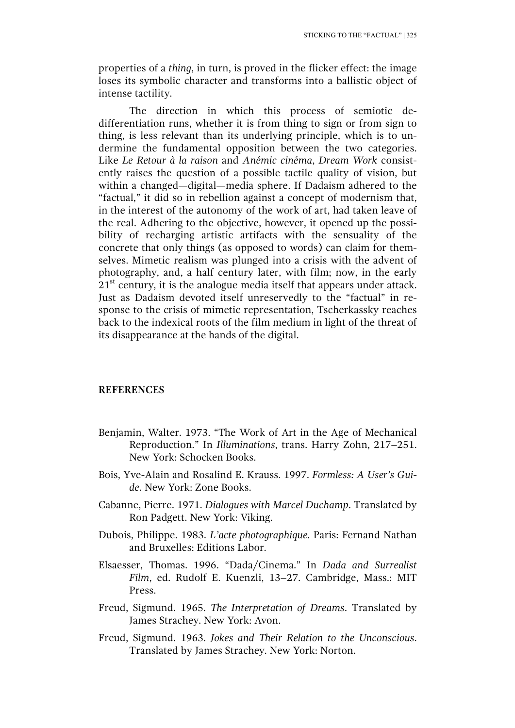properties of a *thing*, in turn, is proved in the flicker effect: the image loses its symbolic character and transforms into a ballistic object of intense tactility.

The direction in which this process of semiotic dedifferentiation runs, whether it is from thing to sign or from sign to thing, is less relevant than its underlying principle, which is to undermine the fundamental opposition between the two categories. Like *Le Retour à la raison* and *Anémic cinéma*, *Dream Work* consistently raises the question of a possible tactile quality of vision, but within a changed—digital—media sphere. If Dadaism adhered to the "factual," it did so in rebellion against a concept of modernism that, in the interest of the autonomy of the work of art, had taken leave of the real. Adhering to the objective, however, it opened up the possibility of recharging artistic artifacts with the sensuality of the concrete that only things (as opposed to words) can claim for themselves. Mimetic realism was plunged into a crisis with the advent of photography, and, a half century later, with film; now, in the early  $21<sup>st</sup>$  century, it is the analogue media itself that appears under attack. Just as Dadaism devoted itself unreservedly to the "factual" in response to the crisis of mimetic representation, Tscherkassky reaches back to the indexical roots of the film medium in light of the threat of its disappearance at the hands of the digital.

#### **REFERENCES**

- Benjamin, Walter. 1973. "The Work of Art in the Age of Mechanical Reproduction." In *Illuminations*, trans. Harry Zohn, 217–251. New York: Schocken Books.
- Bois, Yve-Alain and Rosalind E. Krauss. 1997. *Formless: A User's Guide*. New York: Zone Books.
- Cabanne, Pierre. 1971. *Dialogues with Marcel Duchamp*. Translated by Ron Padgett. New York: Viking.
- Dubois, Philippe. 1983. *L'acte photographique.* Paris: Fernand Nathan and Bruxelles: Editions Labor.
- Elsaesser, Thomas. 1996. "Dada/Cinema." In *Dada and Surrealist Film*, ed. Rudolf E. Kuenzli, 13–27. Cambridge, Mass.: MIT Press.
- Freud, Sigmund. 1965. *The Interpretation of Dreams*. Translated by James Strachey. New York: Avon.
- Freud, Sigmund. 1963. *Jokes and Their Relation to the Unconscious*. Translated by James Strachey. New York: Norton.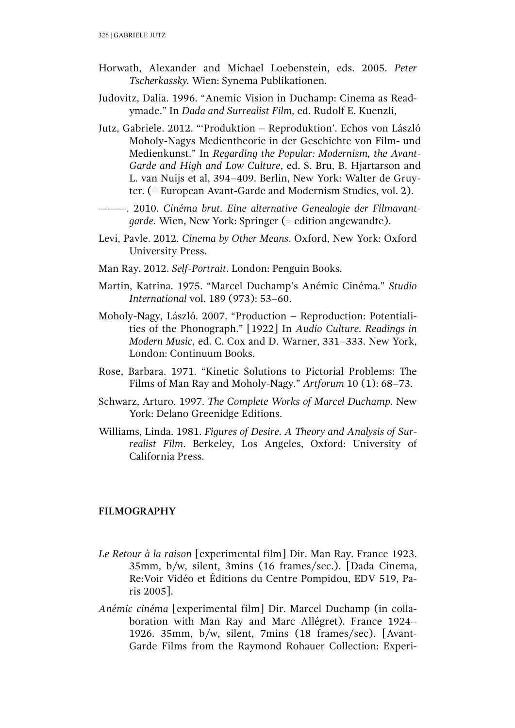- Horwath, Alexander and Michael Loebenstein, eds. 2005. *Peter Tscherkassky.* Wien: Synema Publikationen.
- Judovitz, Dalia. 1996. "Anemic Vision in Duchamp: Cinema as Readymade." In *Dada and Surrealist Film,* ed. Rudolf E. Kuenzli,
- Jutz, Gabriele. 2012. "'Produktion Reproduktion'. Echos von László Moholy-Nagys Medientheorie in der Geschichte von Film- und Medienkunst." In *Regarding the Popular: Modernism, the Avant-Garde and High and Low Culture*, ed. S. Bru, B. Hjartarson and L. van Nuijs et al, 394–409. Berlin, New York: Walter de Gruyter. (= European Avant-Garde and Modernism Studies, vol. 2).
- ———. 2010. *Cinéma brut. Eine alternative Genealogie der Filmavantgarde.* Wien, New York: Springer (= edition angewandte).
- Levi, Pavle. 2012. *Cinema by Other Means*. Oxford, New York: Oxford University Press.
- Man Ray. 2012. *Self-Portrait*. London: Penguin Books.
- Martin, Katrina. 1975. "Marcel Duchamp's Anémic Cinéma." *Studio International* vol. 189 (973): 53–60.
- Moholy-Nagy, László. 2007. "Production Reproduction: Potentialities of the Phonograph." [1922] In *Audio Culture. Readings in Modern Music*, ed. C. Cox and D. Warner, 331–333. New York, London: Continuum Books.
- Rose, Barbara. 1971. "Kinetic Solutions to Pictorial Problems: The Films of Man Ray and Moholy-Nagy." *Artforum* 10 (1): 68–73.
- Schwarz, Arturo. 1997. *The Complete Works of Marcel Duchamp.* New York: Delano Greenidge Editions.
- Williams, Linda. 1981. *Figures of Desire. A Theory and Analysis of Surrealist Film*. Berkeley, Los Angeles, Oxford: University of California Press.

### **FILMOGRAPHY**

- *Le Retour à la raison* [experimental film] Dir. Man Ray. France 1923. 35mm, b/w, silent, 3mins (16 frames/sec.). [Dada Cinema, Re:Voir Vidéo et Éditions du Centre Pompidou, EDV 519, Paris 2005].
- *Anémic cinéma* [experimental film] Dir. Marcel Duchamp (in collaboration with Man Ray and Marc Allégret). France 1924– 1926. 35mm, b/w, silent, 7mins (18 frames/sec). [Avant-Garde Films from the Raymond Rohauer Collection: Experi-